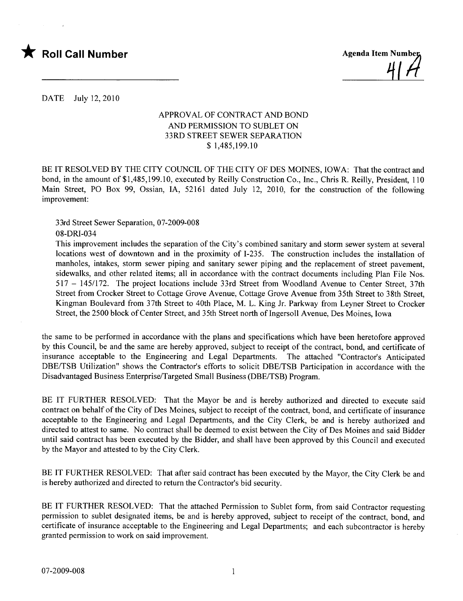

<u>'||'(</u>

DATE July 12,2010

## APPROVAL OF CONTRACT AND BOND AND PERMISSION TO SUBLET ON 33RD STREET SEWER SEPARATION \$ 1,485,199.10

BE IT RESOLVED BY THE CITY COUNCIL OF THE CITY OF DES MOINES, IOWA: That the contract and bond, in the amount of \$1,485,199.10, executed by Reily Construction Co., Inc., Chris R. Reily, President, 110 Main Street, PO Box 99, Ossian, lA, 52161 dated July 12, 2010, for the construction of the following improvement:

33rd Street Sewer Separation, 07-2009-008

08-DRI-034

This improvement includes the separation of the City's combined sanitary and storm sewer system at several locations west of downtown and in the proximity of 1-235. The construction includes the installation of manholes, intakes, storm sewer piping and sanitary sewer piping and the replacement of street pavement, sidewalks, and other related items; all in accordance with the contract documents including Plan File Nos. 517 - 145/172. The project locations include 33rd Street from Woodland Avenue to Center Street, 37th Street from Crocker Street to Cottage Grove Avenue, Cottage Grove Avenue from 35th Street to 38th Street, Kingman Boulevard from 37th Street to 40th Place, M. L. King Jr. Parkway from Leyner Street to Crocker Street, the 2500 block of Center Street, and 35th Street north of Ingersoll Avenue, Des Moines, Iowa

the same to be performed in accordance with the plans and specifications which have been heretofore approved by this Council, be and the same are hereby approved, subject to receipt of the contract, bond, and certificate of insurance acceptable to the Engineering and Legal Departments. The attached "Contractor's Anticipated DBE/TSB Utilization" shows the Contractor's efforts to solicit DBE/TSB Participation in accordance with the Disadvantaged Business Enterprise/Targeted Small Business (DBE/TSB) Program.

BE IT FURTHER RESOLVED: That the Mayor be and is hereby authorized and directed to execute said contract on behalf of the City of Des Moines, subject to receipt of the contract, bond, and certificate of insurance acceptable to the Engineering and Legal Departments, and the City Clerk, be and is hereby authorized and directed to attest to same. No contract shall be deemed to exist between the City of Des Moines and said Bidder until said contract has been executed by the Bidder, and shall have been approved by this Council and executed by the Mayor and attested to by the City Clerk.

BE IT FURTHER RESOLVED: That after said contract has been executed by the Mayor, the City Clerk be and is hereby authorized and directed to return the Contractor's bid security.

BE IT FURTHER RESOLVED: That the attached Permission to Sublet form, from said Contractor requesting permission to sublet designated items, be and is hereby approved, subject to receipt of the contract, bond, and certificate of insurance acceptable to the Engineering and Legal Departments; and each subcontractor is hereby granted permission to work on said improvement.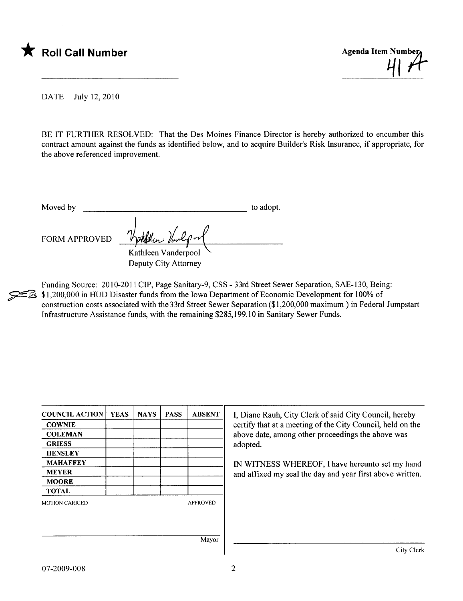



DATE July 12,2010

BE IT FURTHER RESOLVED: That the Des Moines Finance Director is hereby authorized to encumber this contract amount against the funds as identified below, and to acquire Builder's Risk Insurance, if appropriate, for the above referenced improvement.

Moved by to adopt. FORM APPROVED Kathleen Vanderpool .

Deputy City Attorney

Funding Source: 2010-2011 CIP, Page Sanitary-9, CSS - 33rd Street Sewer Separation, SAE-130, Being:<br>
E \$1,200,000 in HUD Disaster funds from the Iowa Department of Economic Development for 100% of<br>
construction costs assoc \$1,200,000 in HUD Disaster funds from the Iowa Department of Economic Development for 100% of Infrastructure Assistance funds, with the remaining \$285,199.10 in Sanitary Sewer Funds.

| <b>COUNCIL ACTION</b> | <b>YEAS</b> | <b>NAYS</b> | <b>PASS</b> | <b>ABSENT</b>   | I, Diane Rauh, City Clerk of said City Council, hereby        |  |  |
|-----------------------|-------------|-------------|-------------|-----------------|---------------------------------------------------------------|--|--|
| <b>COWNIE</b>         |             |             |             |                 | certify that at a meeting of the City Council, held on the    |  |  |
| <b>COLEMAN</b>        |             |             |             |                 | above date, among other proceedings the above was<br>adopted. |  |  |
| <b>GRIESS</b>         |             |             |             |                 |                                                               |  |  |
| <b>HENSLEY</b>        |             |             |             |                 |                                                               |  |  |
| <b>MAHAFFEY</b>       |             |             |             |                 | IN WITNESS WHEREOF, I have hereunto set my hand               |  |  |
| <b>MEYER</b>          |             |             |             |                 | and affixed my seal the day and year first above written.     |  |  |
| <b>MOORE</b>          |             |             |             |                 |                                                               |  |  |
| <b>TOTAL</b>          |             |             |             |                 |                                                               |  |  |
| <b>MOTION CARRIED</b> |             |             |             | <b>APPROVED</b> |                                                               |  |  |
|                       |             |             |             |                 |                                                               |  |  |
|                       |             |             |             |                 |                                                               |  |  |
|                       |             |             |             |                 |                                                               |  |  |
|                       |             |             |             | Mayor           |                                                               |  |  |